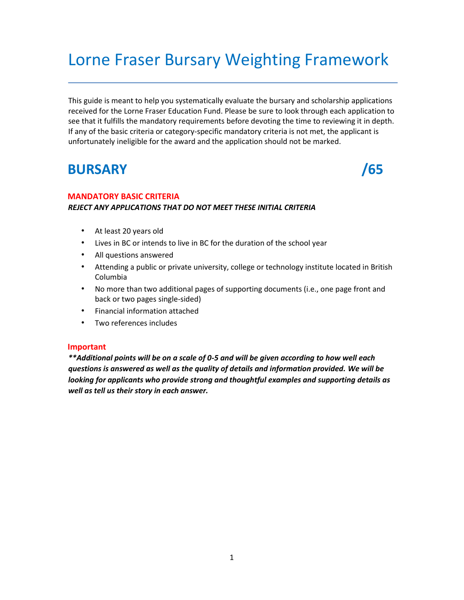# Lorne Fraser Bursary Weighting Framework

This guide is meant to help you systematically evaluate the bursary and scholarship applications received for the Lorne Fraser Education Fund. Please be sure to look through each application to see that it fulfills the mandatory requirements before devoting the time to reviewing it in depth. If any of the basic criteria or category-specific mandatory criteria is not met, the applicant is unfortunately ineligible for the award and the application should not be marked.

## **BURSARY /65**

### **MANDATORY BASIC CRITERIA**  *REJECT ANY APPLICATIONS THAT DO NOT MEET THESE INITIAL CRITERIA*

- At least 20 years old
- Lives in BC or intends to live in BC for the duration of the school year
- All questions answered
- Attending a public or private university, college or technology institute located in British Columbia
- No more than two additional pages of supporting documents (i.e., one page front and back or two pages single-sided)
- Financial information attached
- Two references includes

### **Important**

*\*\*Additional points will be on a scale of 0-5 and will be given according to how well each questions is answered as well as the quality of details and information provided. We will be looking for applicants who provide strong and thoughtful examples and supporting details as well as tell us their story in each answer.*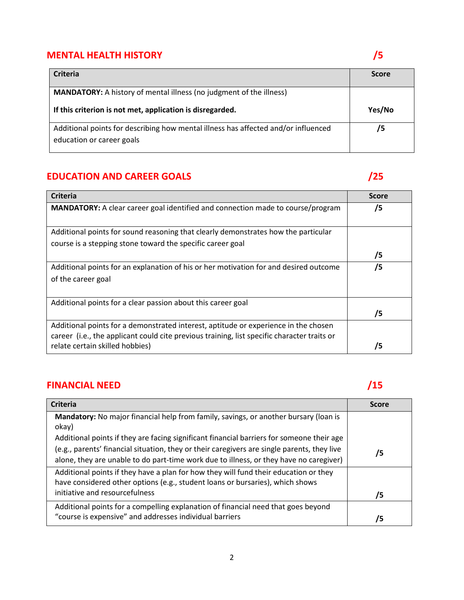### **MENTAL HEALTH HISTORY /5**

## **Criteria Score MANDATORY:** A history of mental illness (no judgment of the illness) **If this criterion is not met, application is disregarded. Yes/No** Additional points for describing how mental illness has affected and/or influenced education or career goals **/5**

### **EDUCATION AND CAREER GOALS /25**

| <b>Criteria</b>                                                                                                                                                                    | <b>Score</b> |
|------------------------------------------------------------------------------------------------------------------------------------------------------------------------------------|--------------|
| MANDATORY: A clear career goal identified and connection made to course/program                                                                                                    | /5           |
| Additional points for sound reasoning that clearly demonstrates how the particular<br>course is a stepping stone toward the specific career goal                                   |              |
|                                                                                                                                                                                    | /5           |
| Additional points for an explanation of his or her motivation for and desired outcome<br>of the career goal                                                                        | /5           |
| Additional points for a clear passion about this career goal                                                                                                                       | /5           |
| Additional points for a demonstrated interest, aptitude or experience in the chosen<br>career (i.e., the applicant could cite previous training, list specific character traits or |              |
| relate certain skilled hobbies)                                                                                                                                                    | /5           |

### **FINANCIAL NEED /15**

| <b>Criteria</b>                                                                             | <b>Score</b> |
|---------------------------------------------------------------------------------------------|--------------|
| Mandatory: No major financial help from family, savings, or another bursary (loan is        |              |
| okay)                                                                                       |              |
| Additional points if they are facing significant financial barriers for someone their age   |              |
| (e.g., parents' financial situation, they or their caregivers are single parents, they live | 75           |
| alone, they are unable to do part-time work due to illness, or they have no caregiver)      |              |
| Additional points if they have a plan for how they will fund their education or they        |              |
| have considered other options (e.g., student loans or bursaries), which shows               |              |
| initiative and resourcefulness                                                              | 75           |
| Additional points for a compelling explanation of financial need that goes beyond           |              |
| "course is expensive" and addresses individual barriers                                     | /5           |